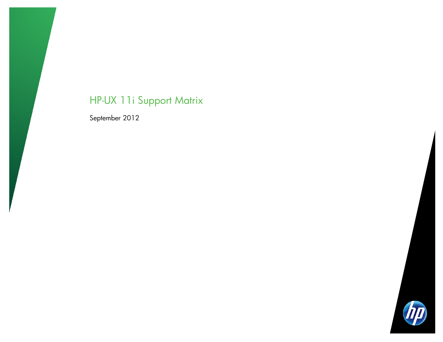# HP-UX 11i Support Matrix

September 2012

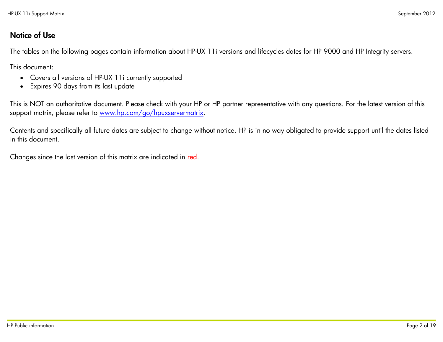### Notice of Use

The tables on the following pages contain information about HP-UX 11i versions and lifecycles dates for HP 9000 and HP Integrity servers.

This document:

- Covers all versions of HP-UX 11i currently supported
- Expires 90 days from its last update

This is NOT an authoritative document. Please check with your HP or HP partner representative with any questions. For the latest version of this support matrix, please refer to [www.hp.com/go/hpuxservermatrix.](http://www.hp.com/go/hpuxservermatrix)

Contents and specifically all future dates are subject to change without notice. HP is in no way obligated to provide support until the dates listed in this document.

Changes since the last version of this matrix are indicated in red.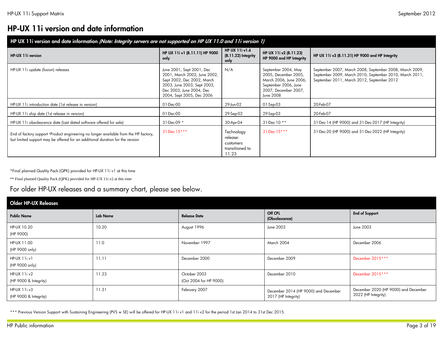# HP-UX 11i version and date information

| HP UX 11i version and date information (Note: Integrity servers are not supported on HP UX 11.0 and 11i version 1)                                                    |                                                                                                                                                                                 |                                                                 |                                                                                                                                    |                                                                                                                                                                  |  |  |  |  |  |  |
|-----------------------------------------------------------------------------------------------------------------------------------------------------------------------|---------------------------------------------------------------------------------------------------------------------------------------------------------------------------------|-----------------------------------------------------------------|------------------------------------------------------------------------------------------------------------------------------------|------------------------------------------------------------------------------------------------------------------------------------------------------------------|--|--|--|--|--|--|
| HP-UX 11i version                                                                                                                                                     | HP UX 11i v1 (B.11.11) HP 9000<br>only                                                                                                                                          | HP UX 11i v1.6<br>(B.11.22) Integrity<br>only                   | HP UX 11i v2 (B.11.23)<br>HP 9000 and HP Integrity                                                                                 | HP UX 11i v3 (B.11.31) HP 9000 and HP Integrity                                                                                                                  |  |  |  |  |  |  |
| HP-UX 11i update (fusion) releases                                                                                                                                    | June 2001, Sept 2001, Dec<br>2001, March 2002, June 2002,<br>Sept 2002, Dec 2002, March<br>2003, June 2003, Sept 2003,<br>Dec 2003, June 2004, Dec<br>2004, Sept 2005, Dec 2006 | N/A                                                             | September 2004, May<br>2005, December 2005,<br>March 2006, June 2006,<br>September 2006, June<br>2007, December 2007,<br>June 2008 | September 2007, March 2008, September 2008, March 2009,<br>September 2009, March 2010, September 2010, March 2011,<br>September 2011, March 2012, September 2012 |  |  |  |  |  |  |
| HP-UX 11i introduction date (1st release in version)                                                                                                                  | 01-Dec-00                                                                                                                                                                       | 29-Jun-02                                                       | 01-Sep-03                                                                                                                          | 20-Feb-07                                                                                                                                                        |  |  |  |  |  |  |
| HP-UX 11i ship date (1st release in version)                                                                                                                          | 01-Dec-00                                                                                                                                                                       | 29-Sep-02                                                       | 29-Sep-03                                                                                                                          | 20-Feb-07                                                                                                                                                        |  |  |  |  |  |  |
| HP-UX 11i obsolescence date (Last dated software offered for sale)                                                                                                    | 31-Dec-09 *                                                                                                                                                                     | 30-Apr-04                                                       | 31-Dec-10 **                                                                                                                       | 31-Dec-14 (HP 9000) and 31-Dec-2017 (HP Integrity)                                                                                                               |  |  |  |  |  |  |
| End of factory support -Product engineering no longer available from the HP factory,<br>but limited support may be offered for an additional duration for the version | $31$ -Dec-15***                                                                                                                                                                 | Technology<br>release:<br>customers<br>transitioned to<br>11.23 | 31-Dec-15***                                                                                                                       | 31-Dec-20 (HP 9000) and 31-Dec-2022 (HP Integrity)                                                                                                               |  |  |  |  |  |  |

\*Final planned Quality Pack (QPK) provided for HP-UX 11i v1 at this time

\*\* Final planned Quality Pack (QPK) provided for HP-UX 11i v2 at this time

### For older HP-UX releases and a summary chart, please see below.

| <b>Older HP-UX Releases</b>           |          |                                        |                                                             |                                                             |
|---------------------------------------|----------|----------------------------------------|-------------------------------------------------------------|-------------------------------------------------------------|
| <b>Public Name</b>                    | Lab Name | <b>Release Date</b>                    | Off CPL<br>(Obsolescence)                                   | <b>End of Support</b>                                       |
| HP-UX 10.20<br>(HP 9000)              | 10.20    | August 1996                            | June 2002                                                   | June 2003                                                   |
| HP-UX 11.00<br>(HP 9000 only)         | 11.0     | November 1997                          | <b>March 2004</b>                                           | December 2006                                               |
| HP-UX 11iv1<br>(HP 9000 only)         | 11.11    | December 2000                          | December 2009                                               | December 2015 ***                                           |
| HP-UX 11i v2<br>(HP 9000 & Integrity) | 11.23    | October 2003<br>(Oct 2004 for HP 9000) | December 2010                                               | December 2015 ***                                           |
| HP-UX 11i v3<br>(HP 9000 & Integrity) | 11.31    | February 2007                          | December 2014 (HP 9000) and December<br>2017 (HP Integrity) | December 2020 (HP 9000) and December<br>2022 (HP Integrity) |

\*\*\* Previous Version Support with Sustaining Engineering (PVS w SE) will be offered for HP-UX 11i v1 and 11i v2 for the period 1st Jan 2014 to 31st Dec 2015.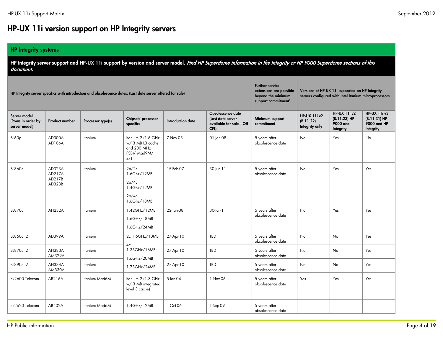## HP-UX 11i version support on HP Integrity servers

#### HP Integrity systems

HP Integrity server support and HP-UX 11i support by version and server model. Find HP Superdome information in the Integrity or HP 9000 Superdome sections of this document.

|                                                    |                                      | HP Integrity server specifics with introduction and obsolescence dates. (Last date server offered for sale) | <b>Further service</b><br>extensions are possible<br>beyond the minimum<br>support commitment <sup>5</sup> |                          | Versions of HP UX 11i supported on HP Integrity<br>servers configured with Intel Itanium microprocessors |                                    |                                                    |                                                                 |                                                                |
|----------------------------------------------------|--------------------------------------|-------------------------------------------------------------------------------------------------------------|------------------------------------------------------------------------------------------------------------|--------------------------|----------------------------------------------------------------------------------------------------------|------------------------------------|----------------------------------------------------|-----------------------------------------------------------------|----------------------------------------------------------------|
| Server model<br>(Rows in order by<br>server model) | <b>Product number</b>                | Processor type(s)                                                                                           | Chipset/ processor<br>specifics                                                                            | <b>Introduction date</b> | Obsolescence date<br>(Last date server<br>available for sale-Off<br>CPL)                                 | Minimum support<br>commitment      | <b>HP-UX 11i v2</b><br>(B.11.22)<br>Integrity only | <b>HP-UX 11i v2</b><br>$(B.11.23) H$ P<br>9000 and<br>Integrity | <b>HP-UX 11i v3</b><br>(B.11.31) H<br>9000 and HP<br>Integrity |
| BL60p                                              | AD000A<br>AD106A                     | Itanium                                                                                                     | Itanium 2 (1.6 GHz<br>w/ 3 MB L3 cache<br>and 200 MHz<br>FSB)/ Mad9M/<br>zx 1                              | 7-Nov-05                 | $01$ -Jan-08                                                                                             | 5 years after<br>obsolescence date | <b>No</b>                                          | Yes                                                             | No                                                             |
| <b>BL860c</b>                                      | AD323A<br>AD217A<br>AD217B<br>AD323B | Itanium                                                                                                     | 2p/2c<br>1.6Ghz/12MB<br>2p/4c<br>1.4Ghz/12MB<br>2p/4c<br>1.6Ghz/18MB                                       | 15-Feb-07                | 30-Jun-11                                                                                                | 5 years after<br>obsolescence date | <b>No</b>                                          | Yes                                                             | Yes                                                            |
| <b>BL870c</b>                                      | <b>AH232A</b>                        | Itanium                                                                                                     | 1.42GHz/12MB<br>1.6GHz/18MB<br>1.6GHz/24MB                                                                 | 22-Jan-08                | 30-Jun-11                                                                                                | 5 years after<br>obsolescence date | <b>No</b>                                          | Yes                                                             | Yes                                                            |
| BL860c i2                                          | AD399A                               | Itanium                                                                                                     | 2c 1.6GHz/10MB<br>4c                                                                                       | 27-Apr-10                | TBD                                                                                                      | 5 years after<br>obsolescence date | No                                                 | No                                                              | Yes                                                            |
| BL870c i2                                          | AH383A<br><b>AM329A</b>              | Itanium                                                                                                     | 1.33GHz/16MB<br>1.6GHz/20MB                                                                                | 27-Apr-10                | TBD                                                                                                      | 5 years after<br>obsolescence date | No                                                 | No                                                              | Yes                                                            |
| BL890c i2                                          | AH384A<br><b>AM330A</b>              | Itanium                                                                                                     | 1.73GHz/24MB                                                                                               | 27-Apr-10                | TBD                                                                                                      | 5 years after<br>obsolescence date | No                                                 | <b>No</b>                                                       | Yes                                                            |
| cx2600 Telecom                                     | AB216A                               | Itanium Mad6M                                                                                               | Itanium 2 (1.3 GHz<br>w/ 3 MB integrated<br>level 3 cache)                                                 | 5-Jan-04                 | 1-Nov-06                                                                                                 | 5 years after<br>obsolescence date | Yes                                                | Yes                                                             | Yes                                                            |
| cx2620 Telecom                                     | AB402A                               | <b>Itanium Mad6M</b>                                                                                        | 1.4GHz/12MB                                                                                                | 1-Oct-06                 | 1-Sep-09                                                                                                 | 5 years after<br>obsolescence date |                                                    |                                                                 |                                                                |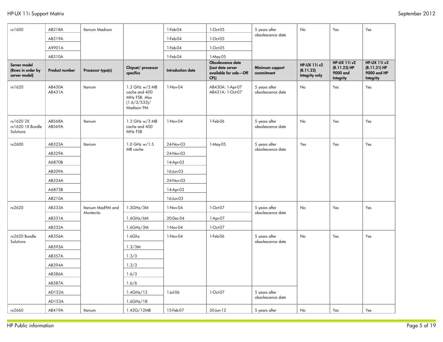| rx1600                                             | AB218A           | <b>Itanium Madison</b>         |                                                                                | 1-Feb-04                 | 1-Oct-05                                                                 | 5 years after                      | No                                                 | Yes                                                          | Yes                                                             |
|----------------------------------------------------|------------------|--------------------------------|--------------------------------------------------------------------------------|--------------------------|--------------------------------------------------------------------------|------------------------------------|----------------------------------------------------|--------------------------------------------------------------|-----------------------------------------------------------------|
|                                                    | AB219A           |                                |                                                                                | 1-Feb-04                 | 1-Oct-05                                                                 | obsolescence date                  |                                                    |                                                              |                                                                 |
|                                                    | A9901A           |                                |                                                                                | 1-Feb-04                 | 1-Oct-05                                                                 |                                    |                                                    |                                                              |                                                                 |
|                                                    | AB310A           |                                |                                                                                | 1-Feb-04                 | 1-May-05                                                                 |                                    |                                                    |                                                              |                                                                 |
| Server model<br>(Rows in order by<br>server model) | Product number   | Processor type(s)              | Chipset/ processor<br>specifics                                                | <b>Introduction date</b> | Obsolescence date<br>(Last date server<br>available for sale-Off<br>CPL) | Minimum support<br>commitment      | <b>HP-UX 11i v2</b><br>(B.11.22)<br>Integrity only | <b>HP-UX 11i v2</b><br>(B.11.23) HP<br>9000 and<br>Integrity | <b>HP-UX 11i v3</b><br>(B.11.31) HP<br>9000 and HP<br>Integrity |
| rx1620                                             | AB430A<br>AB431A | Itanium                        | 1.3 GHz w/3 MB<br>cache and 400<br>MHz FSB. Also<br>(1.6/3/533)/<br>Madison 9M | 1-Nov-04                 | AB430A: 1-Apr-07<br>AB431A: 1-Oct-07                                     | 5 years after<br>obsolescence date | <b>No</b>                                          | Yes                                                          | Yes                                                             |
| rx16202X<br>rx1620 1X Bundle<br>Solutions          | AB568A<br>AB569A | Itanium                        | 1.3 GHz w/3 MB<br>cache and 400<br>MHz FSB                                     | 1-Nov-04                 | 1-Feb-06                                                                 | 5 years after<br>obsolescence date | No                                                 | Yes                                                          | Yes                                                             |
| rx2600                                             | AB323A           | Itanium                        | 1.0 GHz w/1.5                                                                  | 24-Nov-03                | 1-May-05                                                                 | 5 years after                      | Yes                                                | Yes                                                          | Yes                                                             |
|                                                    | AB329A           |                                | MB cache                                                                       | 24-Nov-03                |                                                                          | obsolescence date                  |                                                    |                                                              |                                                                 |
|                                                    | A6870B           |                                |                                                                                | 14-Apr-03                |                                                                          |                                    |                                                    |                                                              |                                                                 |
|                                                    | AB209A           |                                |                                                                                | 16-Jun-03                |                                                                          |                                    |                                                    |                                                              |                                                                 |
|                                                    | AB324A           |                                |                                                                                | 24-Nov-03                |                                                                          |                                    |                                                    |                                                              |                                                                 |
|                                                    | A6873B           |                                |                                                                                | 14-Apr-03                |                                                                          |                                    |                                                    |                                                              |                                                                 |
|                                                    | AB210A           |                                |                                                                                | 16-Jun-03                |                                                                          |                                    |                                                    |                                                              |                                                                 |
| rx2620                                             | AB333A           | Itanium Mad9M and<br>Montecito | 1.3GHz/3M                                                                      | 1-Nov-04                 | 1-Oct-07                                                                 | 5 years after<br>obsolescence date | No                                                 | Yes                                                          | Yes                                                             |
|                                                    | AB331A           |                                | 1.6GHz/6M                                                                      | 20-Dec-04                | 1-Apr-07                                                                 |                                    |                                                    |                                                              |                                                                 |
|                                                    | AB332A           |                                | 1.6GHz/3M                                                                      | 1-Nov-04                 | 1-Oct-07                                                                 |                                    |                                                    |                                                              |                                                                 |
| rx2620 Bundle                                      | AB356A           |                                | 1.6Ghz                                                                         | 1-Nov-04                 | 1-Feb-06                                                                 | 5 years after                      | No                                                 | Yes                                                          | Yes                                                             |
| Solutions                                          | AB393A           |                                | 1.3/3M                                                                         |                          |                                                                          | obsolescence date                  |                                                    |                                                              |                                                                 |
|                                                    | AB357A           |                                | 1.3/3                                                                          |                          |                                                                          |                                    |                                                    |                                                              |                                                                 |
|                                                    | AB394A           |                                | 1.3/3                                                                          |                          |                                                                          |                                    |                                                    |                                                              |                                                                 |
|                                                    | AB386A           |                                | 1.6/3                                                                          |                          |                                                                          |                                    |                                                    |                                                              |                                                                 |
|                                                    | AB387A           |                                | 1.6/6                                                                          |                          |                                                                          |                                    |                                                    |                                                              |                                                                 |
|                                                    | AD152A           |                                | 1.4GHz/12                                                                      | 1-Jul-06                 | 1-Oct-07                                                                 | 5 years after                      |                                                    |                                                              |                                                                 |
|                                                    | AD153A           |                                | 1.6GHz/18                                                                      |                          |                                                                          | obsolescence date                  |                                                    |                                                              |                                                                 |
| rx2660                                             | AB419A           | Itanium                        | 1.42G/12MB                                                                     | 15-Feb-07                | 30-Jun-12                                                                | 5 years after                      | No                                                 | Yes                                                          | Yes                                                             |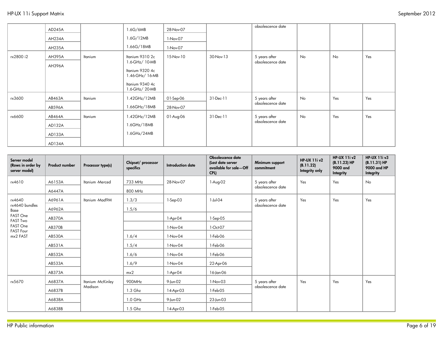|           | AD245A |         | 1.6G/6MB        | 28-Nov-07 |           | obsolescence date |    |     |     |
|-----------|--------|---------|-----------------|-----------|-----------|-------------------|----|-----|-----|
|           | AH234A |         | 1.6G/12MB       | 1-Nov-07  |           |                   |    |     |     |
|           | AH235A |         | 1.66G/18MB      | 1-Nov-07  |           |                   |    |     |     |
| rx2800 i2 | AH395A | Itanium | Itanium 9310 2c | 15-Nov-10 | 30-Nov-13 | 5 years after     | No | No  | Yes |
|           | AH396A |         | 1.6-GHz/ 10-MB  |           |           | obsolescence date |    |     |     |
|           |        |         | Itanium 9320 4c |           |           |                   |    |     |     |
|           |        |         | 1.46-GHz/ 16-MB |           |           |                   |    |     |     |
|           |        |         | Itanium 9340 4c |           |           |                   |    |     |     |
|           |        |         | 1.6-GHz/ 20-MB  |           |           |                   |    |     |     |
| rx3600    | AB463A | Itanium | 1.42GHz/12MB    | 01-Sep-06 | 31-Dec-11 | 5 years after     | No | Yes | Yes |
|           | AB596A |         | 1.66GHz/18MB    | 28-Nov-07 |           | obsolescence date |    |     |     |
| rx6600    | AB464A | Itanium | 1.42GHz/12MB    | 01-Aug-06 | 31-Dec-11 | 5 years after     | No | Yes | Yes |
|           | AD132A |         | 1.6GHz/18MB     |           |           | obsolescence date |    |     |     |
|           | AD133A |         | 1.6GHz/24MB     |           |           |                   |    |     |     |
|           | AD134A |         |                 |           |           |                   |    |     |     |

| Server model<br>(Rows in order by<br>server model)                  | Product number             | Processor type(s) | Chipset/ processor<br>specifics | <b>Introduction date</b> | Obsolescence date<br>(Last date server<br>available for sale—Off<br>CPL) | Minimum support<br>commitment | <b>HP-UX 11i v2</b><br>(B.11.22)<br>Integrity only | <b>HP-UX 11i v2</b><br>(B.11.23) H<br>9000 and<br>Integrity | <b>HP-UX 11i v3</b><br>$(B.11.31) H$ P<br>9000 and HP<br>Integrity |
|---------------------------------------------------------------------|----------------------------|-------------------|---------------------------------|--------------------------|--------------------------------------------------------------------------|-------------------------------|----------------------------------------------------|-------------------------------------------------------------|--------------------------------------------------------------------|
| rx4610                                                              | A6153A                     | Itanium - Merced  | 733 MHz                         | 28-Nov-07                | 1-Aug-02                                                                 | 5 years after                 | Yes                                                | Yes                                                         | No                                                                 |
|                                                                     | A6447A                     |                   | 800 MHz                         |                          |                                                                          | obsolescence date             |                                                    |                                                             |                                                                    |
| rx4640                                                              | A6961A                     | Itanium -Mad9M    | 1.3/3                           | $1-$ Sep $-03$           | 1-Jul-04                                                                 | 5 years after                 | Yes                                                | Yes                                                         | Yes                                                                |
| rx4640 bundles<br>Base                                              | A6962A                     |                   | 1.5/6                           |                          |                                                                          | obsolescence date             |                                                    |                                                             |                                                                    |
| FAST One<br><b>FAST Two</b>                                         | <b>AB370A</b>              |                   |                                 | $1-Apr-04$               | 1-Sep-05                                                                 |                               |                                                    |                                                             |                                                                    |
| FAST One<br>AB370B<br><b>FAST Four</b><br>mx2 FAST<br><b>AB530A</b> |                            |                   |                                 | 1-Nov-04                 | 1-Oct-07                                                                 |                               |                                                    |                                                             |                                                                    |
|                                                                     |                            |                   | 1.6/4                           | 1-Nov-04                 | 1-Feb-06                                                                 |                               |                                                    |                                                             |                                                                    |
|                                                                     | AB531A                     |                   | 1.5/4                           | 1-Nov-04                 | 1-Feb-06                                                                 |                               |                                                    |                                                             |                                                                    |
|                                                                     | AB532A                     |                   | 1.6/6                           | 1-Nov-04                 | 1-Feb-06                                                                 |                               |                                                    |                                                             |                                                                    |
|                                                                     | AB533A                     |                   | 1.6/9                           | 1-Nov-04                 | 22-Apr-06                                                                |                               |                                                    |                                                             |                                                                    |
|                                                                     | AB373A                     |                   | mx2                             | 1-Apr-04                 | 16-Jan-06                                                                |                               |                                                    |                                                             |                                                                    |
| rx5670                                                              | A6837A                     | Itanium -McKinley | 900MHz                          | 9-Jun-02                 | 1-Nov-03                                                                 | 5 years after                 | Yes                                                | Yes                                                         | Yes                                                                |
|                                                                     | A6837B<br>A6838A<br>A6838B | Madison           | 1.3 Ghz                         | 14-Apr-03                | 1-Feb-05                                                                 | obsolescence date             |                                                    |                                                             |                                                                    |
|                                                                     |                            |                   | $1.0$ GHz                       | 9-Jun-02                 | 23-Jun-03                                                                |                               |                                                    |                                                             |                                                                    |
|                                                                     |                            |                   | 1.5 Ghz                         | 14-Apr-03                | 1-Feb-05                                                                 |                               |                                                    |                                                             |                                                                    |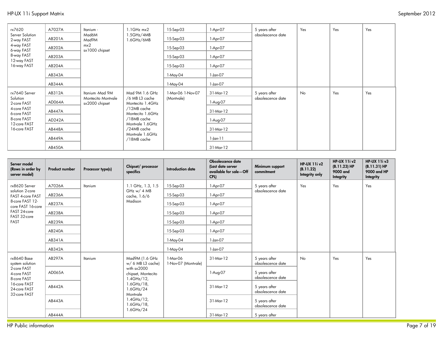| rx7620                        | A7027A        | Itanium -                                               | $1.1$ GHz $mx2$                    | 15-Sep-03         | 1-Apr-07  | 5 years after     | Yes | Yes | Yes |
|-------------------------------|---------------|---------------------------------------------------------|------------------------------------|-------------------|-----------|-------------------|-----|-----|-----|
| Server Solution<br>2-way FAST | AB201A        | Mad6M<br>Mad9M                                          | 1.5GHz/4MB<br>1.6GHz/6MB           | 15-Sep-03         | 1-Apr-07  | obsolescence date |     |     |     |
| 4-way FAST<br>6-way FAST      | AB202A        | mx2<br>sx1000 chipset                                   |                                    | 15-Sep-03         | 1-Apr-07  |                   |     |     |     |
| 8-way FAST                    | AB203A        |                                                         |                                    | 15-Sep-03         | 1-Apr-07  |                   |     |     |     |
| 12-way FAST<br>16-way FAST    | AB204A        |                                                         |                                    | 15-Sep-03         | 1-Apr-07  |                   |     |     |     |
|                               | AB343A        |                                                         |                                    | 1-May-04          | 1-Jan-07  |                   |     |     |     |
|                               | AB344A        |                                                         |                                    | 1-May-04          | 1-Jan-07  |                   |     |     |     |
| rx7640 Server                 | AB312A        | Itanium -Mad 9M<br>Montecito Montvale<br>sx2000 chipset | Mad 9M 1.6 GHz                     | 1-Mar-06 1-Nov-07 | 31-Mar-12 | 5 years after     | No  | Yes | Yes |
| Solution<br>2-core FAST       | AD064A        |                                                         | /6 MB L3 cache<br>Montecito 1.4GHz | (Montvale)        | 1-Aug-07  | obsolescence date |     |     |     |
| 4-core FAST<br>6-core FAST    | AB447A        |                                                         | /12MB cache<br>Montecito 1.6GHz    |                   | 31-Mar-12 |                   |     |     |     |
| 8-core FAST                   | AD242A        |                                                         | /18MB cache<br>Montvale 1.6GHz     |                   | 1-Aug-07  |                   |     |     |     |
| 12-core FAST<br>16-core FAST  | AB448A        |                                                         | /24MB cache                        |                   | 31-Mar-12 |                   |     |     |     |
|                               | AB449A        |                                                         | Montvale 1.6GHz<br>/18MB cache     |                   | 1-Jan-11  |                   |     |     |     |
|                               | <b>AB450A</b> |                                                         |                                    |                   | 31-Mar-12 |                   |     |     |     |

| Server model<br>(Rows in order by<br>server model) | Product number | Processor type(s) | Chipset/ processor<br>specifics                    | <b>Introduction date</b>        | Obsolescence date<br>(Last date server<br>available for sale—Off<br>CPL) | Minimum support<br>commitment      | <b>HP-UX 11i v2</b><br>(B.11.22)<br>Integrity only | <b>HP-UX 11i v2</b><br>(B.11.23) H<br>9000 and<br>Integrity | <b>HP-UX 11i v3</b><br>$(B.11.31) H$ P<br>9000 and HP<br>Integrity |
|----------------------------------------------------|----------------|-------------------|----------------------------------------------------|---------------------------------|--------------------------------------------------------------------------|------------------------------------|----------------------------------------------------|-------------------------------------------------------------|--------------------------------------------------------------------|
| rx8620 Server                                      | A7026A         | Itanium           | 1.1 GHz, 1.3, 1.5                                  | 15-Sep-03                       | 1-Apr-07                                                                 | 5 years after                      | Yes                                                | Yes                                                         | Yes                                                                |
| solution 2-core<br>FAST 4-core FAST                | AB236A         |                   | GHz w/ 4 MB<br>cache, 1.6/6                        | 15-Sep-03                       | 1-Apr-07                                                                 | obsolescence date                  |                                                    |                                                             |                                                                    |
| 8-core FAST 12-<br>core FAST 16-core               | AB237A         |                   | Madison                                            | 15-Sep-03                       | 1-Apr-07                                                                 |                                    |                                                    |                                                             |                                                                    |
| FAST 24-core<br>FAST 32-core                       | AB238A         |                   |                                                    | 15-Sep-03                       | 1-Apr-07                                                                 |                                    |                                                    |                                                             |                                                                    |
| <b>FAST</b>                                        | AB239A         |                   |                                                    | 15-Sep-03                       | 1-Apr-07                                                                 |                                    |                                                    |                                                             |                                                                    |
|                                                    | AB240A         |                   |                                                    | 15-Sep-03                       | 1-Apr-07                                                                 |                                    |                                                    |                                                             |                                                                    |
|                                                    | AB341A         |                   |                                                    | 1-May-04                        | 1-Jan-07                                                                 |                                    |                                                    |                                                             |                                                                    |
|                                                    | AB342A         |                   |                                                    | 1-May-04                        | $1$ -Jan-07                                                              |                                    |                                                    |                                                             |                                                                    |
| rx8640 Base<br>system solution                     | AB297A         | Itanium           | Mad9M (1.6 GHz<br>$w/6$ MB L3 cache)               | 1-Mar-06<br>1-Nov-07 (Montvale) | 31-Mar-12                                                                | 5 years after<br>obsolescence date | No                                                 | Yes                                                         | Yes                                                                |
| 2-core FAST<br>4-core FAST<br>8-core FAST          | AD065A         |                   | with sx2000<br>chipset, Montecito<br>$1.4GHz/12$ , |                                 | 1-Aug-07                                                                 | 5 years after<br>obsolescence date |                                                    |                                                             |                                                                    |
| 16-core FAST<br>24-core FAST<br>32-core FAST       | AB442A         |                   | $1.6$ GHz $/18$ .<br>1.6GHz/24<br>Montvale         |                                 | 31-Mar-12                                                                | 5 years after<br>obsolescence date |                                                    |                                                             |                                                                    |
|                                                    | AB443A         |                   | $1.4GHz/12$ ,<br>$1.6$ GHz $/18$ ,<br>1.6GHz/24    |                                 | 31-Mar-12                                                                | 5 years after<br>obsolescence date |                                                    |                                                             |                                                                    |
|                                                    | <b>AB444A</b>  |                   |                                                    |                                 | 31-Mar-12                                                                | 5 years after                      |                                                    |                                                             |                                                                    |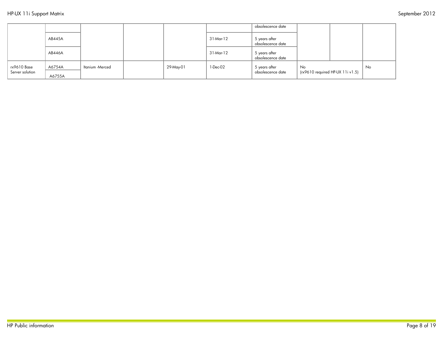|                                |                  |                 |           |           | obsolescence date                  |                                                   |    |
|--------------------------------|------------------|-----------------|-----------|-----------|------------------------------------|---------------------------------------------------|----|
|                                | AB445A           |                 |           | 31-Mar-12 | 5 years after<br>obsolescence date |                                                   |    |
|                                | AB446A           |                 |           | 31-Mar-12 | 5 years after<br>obsolescence date |                                                   |    |
| rx9610 Base<br>Server solution | A6754A<br>A6755A | Itanium -Merced | 29-May-01 | 1-Dec-02  | 5 years after<br>obsolescence date | No<br>$(r \times 9610$ required HP-UX $11i$ v1.5) | No |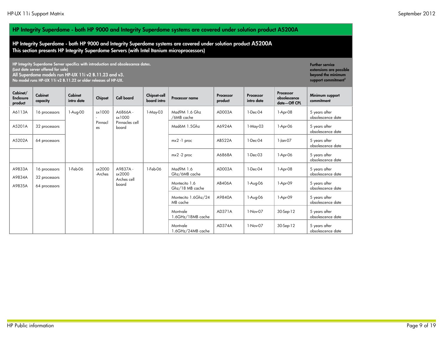Cabinet capacity

16 processors 32 processors 64 processors

Cabinet/ Enclosure product

A9833A A9834A A9835A

#### HP Integrity Superdome - both HP 9000 and Integrity Superdome systems are covered under solution product A5200A

HP Integrity Superdome - both HP 9000 and Integrity Superdome systems are covered under solution product A5200A This section presents HP Integrity Superdome Servers (with Intel Itanium microprocessors)

HP Integrity Superdome Server specifics with introduction and obsolescence dates. (Last date server offered for sale) All Superdome models run HP-UX 11i v2 B.11.23 and v3.

No model runs HP-UX 11i v2 B.11.22 or older releases of HP-UX.

Cabinet intro date Chipset Cell board Chipset-cell Processor name Processor product Processor intro date Processor obsolescence date—Off CPL Minimum support commitment A6113A 16 processors 1-Aug-00 sx1000 - Pinnacl es A6866A sx1000 Pinnacles cell board 1-May-03 | Mad9M 1.6 Ghz /6MB cache AD003A | 1-Dec-04 | 1-Apr-08 | 5 years after obsolescence date A5201A 32 processors | Raga | Agada | Mad6M 1.5Ghz | A6924A | 1-May-03 | 1-Apr-06 | 5 years after obsolescence date A5202A | 64 processors | | | mx2 -1 proc | AB522A | 1-Dec-04 | 1-Jan-07 | 5 years after obsolescence date mx2 -2 proc A6868A 1-Dec-03 1-Apr-06 5 years after obsolescence date 1-Feb-06 sx2000 -Arches A9837A sx2000 Arches cell board 1-Feb-06 Mad9M 1.6 Ghz/6MB cache AD003A | 1-Dec-04 | 1-Apr-08 | 5 years after obsolescence date Montecito 1.6 Ghz/18 MB cache AB406A 1-Aug-06 1-Apr-09 5 years after obsolescence date Montecito 1.6Ghz/24 MB cache A9840A 1-Aug-06 1-Apr-09 5 years after obsolescence date

**Montvale** 

Montvale

1.6GHz/18MB cache

1.6GHz/24MB cache

Further service extensions are possible beyond the minimum support commitment<sup>5</sup>

obsolescence date

obsolescence date

AD371A | 1-Nov-07 | 30-Sep-12 | 5 years after

AD374A | 1-Nov-07 | 30-Sep-12 | 5 years after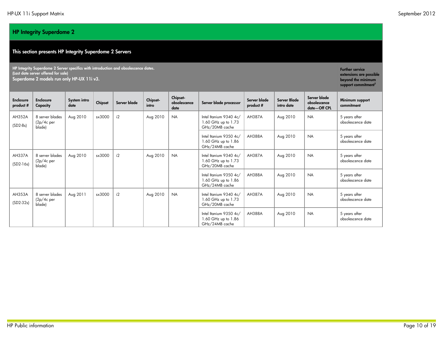#### HP Integrity Superdome 2

#### This section presents HP Integrity Superdome 2 Servers

HP Integrity Superdome 2 Server specifics with introduction and obsolescence dates. (Last date server offered for sale) Superdome 2 models run only HP-UX 11i v3.

**Enclosure** product # Enclosure **Capacity** System intro System intro  $\begin{array}{|c|c|c|c|c|}\n\hline\n\text{Gaiq} & \text{Chipset-} \\
\text{date} & \text{intra}\n\end{array}$ intro Chipsetobsolescence date Server blade processor Server blade product # Server Blade intro date Server blade obsolescence date—Off CPL Minimum support commitment AH352A (SD2-8s) 8 server blades (2p/4c per blade) Aug 2010 sx3000 i2 Aug 2010 NA Intel Itanium 9340 4c/ 1.60 GHz up to 1.73 GHz/20MB cache AH387A | Aug 2010 | NA | 5 years after obsolescence date Intel Itanium 9350 4c/ 1.60 GHz up to 1.86 GHz/24MB cache AH388A | Aug 2010 | NA | 5 years after obsolescence date AH337A (SD2-16s) 8 server blades (2p/4c per blade) Aug 2010 sx3000 i2 Aug 2010 NA Intel Itanium 9340 4c/ 1.60 GHz up to 1.73 GHz/20MB cache AH387A | Aug 2010 | NA | 5 years after obsolescence date Intel Itanium 9350 4c/ 1.60 GHz up to 1.86 GHz/24MB cache AH388A | Aug 2010 | NA | 5 years after obsolescence date AH353A (SD2-32s) 8 server blades (2p/4c per blade) Aug 2011 | sx3000 | i2 | Aug 2010 | NA | Intel Itanium 9340 4c/ 1.60 GHz up to 1.73 GHz/20MB cache AH387A | Aug 2010 | NA | 5 years after obsolescence date Intel Itanium 9350 4c/ 1.60 GHz up to 1.86 GHz/24MB cache AH388A | Aug 2010 | NA | 5 years after obsolescence date

Further service extensions are possible beyond the minimum support commitment<sup>5</sup>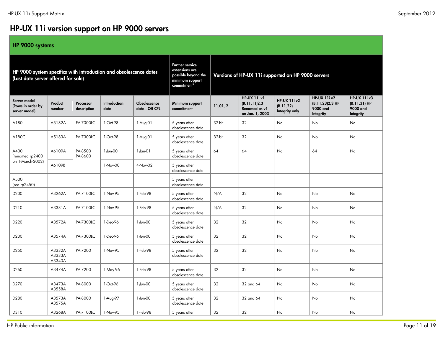# HP-UX 11i version support on HP 9000 servers

#### HP 9000 systems

| HP 9000 system specifics with introduction and obsolescence dates<br>(Last date server offered for sale) |                            |                          |                      | <b>Further service</b><br>extensions are<br>possible beyond the<br>minimum support<br>commitment <sup>5</sup> | Versions of HP-UX 11i supported on HP 9000 servers |          |                                                                         |                                                    |                                                                 |                                                              |
|----------------------------------------------------------------------------------------------------------|----------------------------|--------------------------|----------------------|---------------------------------------------------------------------------------------------------------------|----------------------------------------------------|----------|-------------------------------------------------------------------------|----------------------------------------------------|-----------------------------------------------------------------|--------------------------------------------------------------|
| Server model<br>(Rows in order by<br>server model)                                                       | Product<br>number          | Processor<br>description | Introduction<br>date | Obsolescence<br>date-Off CPL                                                                                  | Minimum support<br>commitment                      | 11.01, 2 | <b>HP-UX 11i v1</b><br>(B.11.11)2,3<br>Renamed as v1<br>on Jan. 1, 2003 | <b>HP-UX 11i v2</b><br>(B.11.22)<br>Integrity only | <b>HP-UX 11i v2</b><br>(B.11.23)2,3 HP<br>9000 and<br>Integrity | <b>HP-UX 11i v3</b><br>(B.11.31) HP<br>9000 and<br>Integrity |
| A180                                                                                                     | A5182A                     | PA-7300LC                | 1-Oct-98             | 1-Aug-01                                                                                                      | 5 years after<br>obsolescence date                 | 32-bit   | 32                                                                      | No                                                 | No                                                              | <b>No</b>                                                    |
| A180C                                                                                                    | A5183A                     | PA-7300LC                | 1-Oct-98             | 1-Aug-01                                                                                                      | 5 years after<br>obsolescence date                 | 32-bit   | 32                                                                      | No                                                 | No                                                              | <b>No</b>                                                    |
| A400<br>(renamed rp2400                                                                                  | A6109A                     | PA-8500<br>PA-8600       | 1-Jun-00             | $1$ -Jan-0 $1$                                                                                                | 5 years after<br>obsolescence date                 | 64       | 64                                                                      | <b>No</b>                                          | 64                                                              | No                                                           |
| on 1-March-2002)                                                                                         | A6109B                     |                          | 1-Nov-00             | 4-Nov-02                                                                                                      | 5 years after<br>obsolescence date                 |          |                                                                         |                                                    |                                                                 |                                                              |
| A500<br>(see rp2450)                                                                                     |                            |                          |                      |                                                                                                               | 5 years after<br>obsolescence date                 |          |                                                                         |                                                    |                                                                 |                                                              |
| D200                                                                                                     | A3262A                     | PA-7100LC                | 1-Nov-95             | 1-Feb-98                                                                                                      | 5 years after<br>obsolescence date                 | N/A      | 32                                                                      | No                                                 | No                                                              | No                                                           |
| D210                                                                                                     | A3331A                     | PA-7100LC                | 1-Nov-95             | 1-Feb-98                                                                                                      | 5 years after<br>obsolescence date                 | N/A      | 32                                                                      | No.                                                | No                                                              | <b>No</b>                                                    |
| D220                                                                                                     | A3572A                     | PA-7300LC                | 1-Dec-96             | 1-Jun-00                                                                                                      | 5 years after<br>obsolescence date                 | 32       | 32                                                                      | No                                                 | No                                                              | No                                                           |
| D230                                                                                                     | A3574A                     | PA-7300LC                | 1-Dec-96             | 1-Jun-00                                                                                                      | 5 years after<br>obsolescence date                 | 32       | 32                                                                      | <b>No</b>                                          | No                                                              | <b>No</b>                                                    |
| D250                                                                                                     | A3332A<br>A3333A<br>A3343A | PA-7200                  | 1-Nov-95             | 1-Feb-98                                                                                                      | 5 years after<br>obsolescence date                 | 32       | 32                                                                      | No                                                 | No                                                              | <b>No</b>                                                    |
| D <sub>260</sub>                                                                                         | A3474A                     | PA-7200                  | 1-May-96             | 1-Feb-98                                                                                                      | 5 years after<br>obsolescence date                 | 32       | 32                                                                      | No                                                 | No                                                              | No                                                           |
| D270                                                                                                     | A3473A<br>A3558A           | PA-8000                  | 1-Oct-96             | 1-Jun-00                                                                                                      | 5 years after<br>obsolescence date                 | 32       | 32 and 64                                                               | <b>No</b>                                          | No                                                              | No                                                           |
| D280                                                                                                     | A3573A<br>A3575A           | PA-8000                  | 1-Aug-97             | 1-Jun-00                                                                                                      | 5 years after<br>obsolescence date                 | 32       | 32 and 64                                                               | No.                                                | No                                                              | <b>No</b>                                                    |
| D310                                                                                                     | A3268A                     | PA-7100LC                | 1-Nov-95             | 1-Feb-98                                                                                                      | 5 years after                                      | 32       | 32                                                                      | No                                                 | No                                                              | No                                                           |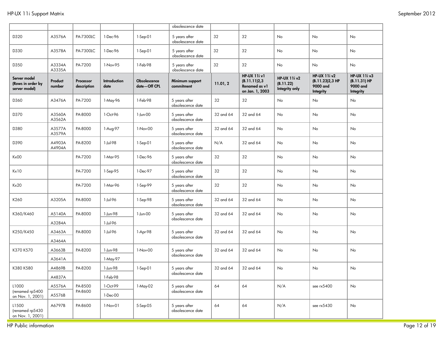|                                                    |                   |                          |                      |                              | obsolescence date                  |           |                                                                 |                                                    |                                                                 |                                                              |
|----------------------------------------------------|-------------------|--------------------------|----------------------|------------------------------|------------------------------------|-----------|-----------------------------------------------------------------|----------------------------------------------------|-----------------------------------------------------------------|--------------------------------------------------------------|
| D320                                               | A3576A            | PA-7300LC                | 1-Dec-96             | $1-Sep-01$                   | 5 years after<br>obsolescence date | 32        | 32                                                              | No                                                 | No                                                              | No                                                           |
| D330                                               | A3578A            | PA-7300LC                | 1-Dec-96             | $1-Sep-01$                   | 5 years after<br>obsolescence date | 32        | 32                                                              | No                                                 | No                                                              | No                                                           |
| D350                                               | A3334A<br>A3335A  | PA-7200                  | 1-Nov-95             | 1-Feb-98                     | 5 years after<br>obsolescence date | 32        | 32                                                              | No                                                 | No                                                              | No                                                           |
| Server model<br>(Rows in order by<br>server model) | Product<br>number | Processor<br>description | Introduction<br>date | Obsolescence<br>date-Off CPL | Minimum support<br>commitment      | 11.01, 2  | HP-UX 11iv1<br>(B.11.11)2,3<br>Renamed as v1<br>on Jan. 1, 2003 | <b>HP-UX 11i v2</b><br>(B.11.22)<br>Integrity only | <b>HP-UX 11i v2</b><br>(B.11.23)2,3 HP<br>9000 and<br>Integrity | <b>HP-UX 11i v3</b><br>(B.11.31) HP<br>9000 and<br>Integrity |
| D360                                               | A3476A            | PA-7200                  | 1-May-96             | 1-Feb-98                     | 5 years after<br>obsolescence date | 32        | 32                                                              | No                                                 | No                                                              | No                                                           |
| D370                                               | A3560A<br>A3562A  | PA-8000                  | 1-Oct-96             | 1-Jun-00                     | 5 years after<br>obsolescence date | 32 and 64 | 32 and 64                                                       | No                                                 | No                                                              | No                                                           |
| D380                                               | A3577A<br>A3579A  | PA-8000                  | 1-Aug-97             | 1-Nov-00                     | 5 years after<br>obsolescence date | 32 and 64 | 32 and 64                                                       | No                                                 | No                                                              | No                                                           |
| D390                                               | A4903A<br>A4904A  | PA-8200                  | 1-Jul-98             | $1-Sep-01$                   | 5 years after<br>obsolescence date | N/A       | 32 and 64                                                       | No                                                 | No                                                              | No                                                           |
| Kx00                                               |                   | PA-7200                  | 1-Mar-95             | 1-Dec-96                     | 5 years after<br>obsolescence date | 32        | 32                                                              | No                                                 | No                                                              | No                                                           |
| Kx10                                               |                   | PA-7200                  | 1-Sep-95             | 1-Dec-97                     | 5 years after<br>obsolescence date | 32        | 32                                                              | No                                                 | No                                                              | No                                                           |
| Kx20                                               |                   | PA-7200                  | 1-Mar-96             | 1-Sep-99                     | 5 years after<br>obsolescence date | 32        | 32                                                              | No                                                 | No                                                              | No                                                           |
| K260                                               | A3205A            | PA-8000                  | 1-Jul-96             | 1-Sep-98                     | 5 years after<br>obsolescence date | 32 and 64 | 32 and 64                                                       | No                                                 | No                                                              | No                                                           |
| K360/K460                                          | A5140A            | PA-8000                  | 1-Jun-98             | $1-Jun-OO$                   | 5 years after                      | 32 and 64 | 32 and 64                                                       | No                                                 | No                                                              | No                                                           |
|                                                    | A3284A            |                          | 1-Jul-96             |                              | obsolescence date                  |           |                                                                 |                                                    |                                                                 |                                                              |
| K250/K450                                          | A3463A            | PA-8000                  | 1-Jul-96             | 1-Apr-98                     | 5 years after<br>obsolescence date | 32 and 64 | 32 and 64                                                       | No                                                 | No                                                              | No.                                                          |
|                                                    | A3464A            |                          |                      |                              |                                    |           |                                                                 |                                                    |                                                                 |                                                              |
| K370 K570                                          | A3663B            | PA-8200                  | 1-Jun-98             | 1-Nov-00                     | 5 years after<br>obsolescence date | 32 and 64 | 32 and 64                                                       | No                                                 | No                                                              | No                                                           |
|                                                    | A3641A            |                          | 1-May-97             |                              |                                    |           |                                                                 |                                                    |                                                                 |                                                              |
| K380 K580                                          | A4869B            | PA-8200                  | 1-Jun-98             | 1-Sep-01                     | 5 years after                      | 32 and 64 | 32 and 64                                                       | No                                                 | No                                                              | No                                                           |
|                                                    | A4837A            |                          | 1-Feb-98             |                              | obsolescence date                  |           |                                                                 |                                                    |                                                                 |                                                              |
| L1000                                              | A5576A            | PA-8500                  | 1-Oct-99             | 1-May-02                     | 5 years after                      | 64        | 64                                                              | N/A                                                | see rx5400                                                      | No                                                           |
| (renamed rp5400<br>on Nov. 1, 2001)                | A5576B            | PA-8600                  | 1-Dec-00             |                              | obsolescence date                  |           |                                                                 |                                                    |                                                                 |                                                              |
| L1500<br>(renamed rp5430<br>on Nov. 1, 2001)       | A6797B            | PA-8600                  | 1-Nov-01             | 5-Sep-05                     | 5 years after<br>obsolescence date | 64        | 64                                                              | N/A                                                | see rx5430                                                      | No                                                           |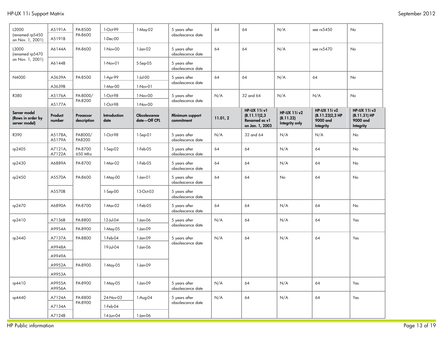| L2000                                              | A5191A            | PA-8500                  | 1-Oct-99             | 1-May-02                     | 5 years after                      | 64       | 64                                                                      | N/A                                                | see rx5450                                                      | No                                                           |
|----------------------------------------------------|-------------------|--------------------------|----------------------|------------------------------|------------------------------------|----------|-------------------------------------------------------------------------|----------------------------------------------------|-----------------------------------------------------------------|--------------------------------------------------------------|
| (renamed rp5450<br>on Nov. 1, 2001)                | A5191B            | PA-8600                  | 1-Dec-00             |                              | obsolescence date                  |          |                                                                         |                                                    |                                                                 |                                                              |
| L3000<br>(renamed rp5470                           | A6144A            | PA-8600                  | 1-Nov-00             | $1$ -Jan- $02$               | 5 years after<br>obsolescence date | 64       | 64                                                                      | N/A                                                | see rx5470                                                      | No                                                           |
| on Nov. 1, 2001)                                   | A6144B            |                          | 1-Nov-01             | 5-Sep-05                     | 5 years after<br>obsolescence date |          |                                                                         |                                                    |                                                                 |                                                              |
| N4000                                              | A3639A            | PA-8500                  | 1-Apr-99             | 1-Jul-00                     | 5 years after                      | 64       | 64                                                                      | N/A                                                | 64                                                              | No                                                           |
|                                                    | A3639B            |                          | 1-Mar-00             | 1-Nov-01                     | obsolescence date                  |          |                                                                         |                                                    |                                                                 |                                                              |
| R380                                               | A5176A            | PA-8000/                 | 1-Oct-98             | 1-Nov-00                     | 5 years after                      | N/A      | 32 and 64                                                               | N/A                                                | N/A                                                             | No                                                           |
|                                                    | A5177A            | PA-8200                  | 1-Oct-98             | 1-Nov-00                     | obsolescence date                  |          |                                                                         |                                                    |                                                                 |                                                              |
| Server model<br>(Rows in order by<br>server model) | Product<br>number | Processor<br>description | Introduction<br>date | Obsolescence<br>date-Off CPL | Minimum support<br>commitment      | 11.01, 2 | <b>HP-UX 11i v1</b><br>(B.11.11)2,3<br>Renamed as v1<br>on Jan. 1, 2003 | <b>HP-UX 11i v2</b><br>(B.11.22)<br>Integrity only | <b>HP-UX 11i v2</b><br>(B.11.23)2,3 HP<br>9000 and<br>Integrity | <b>HP-UX 11i v3</b><br>(B.11.31) HP<br>9000 and<br>Integrity |
| R390                                               | A5178A,<br>A5179A | PA8000/<br>PA8200        | 1-Oct-98             | 1-Sep-01                     | 5 years after<br>obsolescence date | N/A      | 32 and 64                                                               | N/A                                                | N/A                                                             | No                                                           |
| rp2405                                             | A7121A,<br>A7122A | PA-8700<br>650 Mhz       | $1-Sep-02$           | 1-Feb-05                     | 5 years after<br>obsolescence date | 64       | 64                                                                      | N/A                                                | 64                                                              | No                                                           |
| rp2430                                             | A6889A            | PA-8700                  | 1-Mar-02             | 1-Feb-05                     | 5 years after<br>obsolescence date | 64       | 64                                                                      | N/A                                                | 64                                                              | No                                                           |
| rp2450                                             | A5570A            | PA-8600                  | 1-May-00             | $1-Jan-01$                   | 5 years after<br>obsolescence date | 64       | 64                                                                      | No                                                 | 64                                                              | No                                                           |
|                                                    | A5570B            |                          | 1-Sep-00             | 13-Oct-03                    | 5 years after<br>obsolescence date |          |                                                                         |                                                    |                                                                 |                                                              |
| rp2470                                             | A6890A            | PA-8700                  | 1-Mar-02             | 1-Feb-05                     | 5 years after<br>obsolescence date | 64       | 64                                                                      | N/A                                                | 64                                                              | <b>No</b>                                                    |
| rp3410                                             | A7136B            | PA-8800                  | 12-Jul-04            | 1-Jan-06                     | 5 years after                      | N/A      | 64                                                                      | N/A                                                | 64                                                              | Yes                                                          |
|                                                    | A9954A            | PA-8900                  | 1-May-05             | 1-Jan-09                     | obsolescence date                  |          |                                                                         |                                                    |                                                                 |                                                              |
| rp3440                                             | A7137A            | PA-8800                  | 1-Feb-04             | 1-Jan-09                     | 5 years after                      | N/A      | 64                                                                      | N/A                                                | 64                                                              | Yes                                                          |
|                                                    | A9948A            |                          | 19-Jul-04            | 1-Jan-06                     | obsolescence date                  |          |                                                                         |                                                    |                                                                 |                                                              |
|                                                    | A9949A            |                          |                      |                              |                                    |          |                                                                         |                                                    |                                                                 |                                                              |
|                                                    | A9952A            | PA-8900                  | 1-May-05             | $1$ -Jan-09                  |                                    |          |                                                                         |                                                    |                                                                 |                                                              |
|                                                    | A9953A            |                          |                      |                              |                                    |          |                                                                         |                                                    |                                                                 |                                                              |
| rp4410                                             | A9955A<br>A9956A  | PA-8900                  | 1-May-05             | 1-Jan-09                     | 5 years after<br>obsolescence date | N/A      | 64                                                                      | N/A                                                | 64                                                              | Yes                                                          |
| rp4440                                             | A7124A            | PA-8800                  | 24-Nov-03            | 1-Aug-04                     | 5 years after                      | N/A      | 64                                                                      | N/A                                                | 64                                                              | Yes                                                          |
|                                                    | A7134A            | PA-8900                  | 1-Feb-04             |                              | obsolescence date                  |          |                                                                         |                                                    |                                                                 |                                                              |
|                                                    | A7124B            |                          | 14-Jun-04            | 1-Jan-06                     |                                    |          |                                                                         |                                                    |                                                                 |                                                              |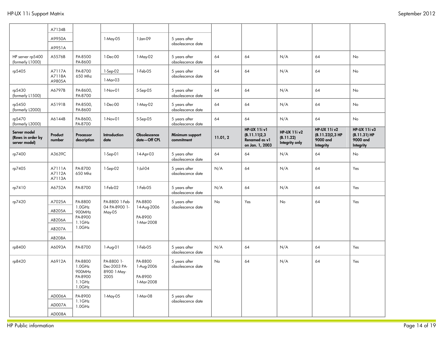|                                                    | A7134B                     |                                                               |                                                                               |                                                |                                    |           |                                                                         |                                                    |                                                                 |                                                              |
|----------------------------------------------------|----------------------------|---------------------------------------------------------------|-------------------------------------------------------------------------------|------------------------------------------------|------------------------------------|-----------|-------------------------------------------------------------------------|----------------------------------------------------|-----------------------------------------------------------------|--------------------------------------------------------------|
|                                                    | A9950A                     |                                                               | 1-May-05                                                                      | $1$ -Jan-09                                    | 5 years after                      |           |                                                                         |                                                    |                                                                 |                                                              |
|                                                    | A9951A                     |                                                               |                                                                               |                                                | obsolescence date                  |           |                                                                         |                                                    |                                                                 |                                                              |
| HP server rp5400<br>(formerly L1000)               | A5576B                     | PA-8500<br>PA-8600                                            | 1-Dec-00                                                                      | 1-May-02                                       | 5 years after<br>obsolescence date | 64        | 64                                                                      | N/A                                                | 64                                                              | No                                                           |
| rp5405                                             | A7117A                     | PA-8700                                                       | 1-Sep-02                                                                      | 1-Feb-05                                       | 5 years after                      | 64        | 64                                                                      | N/A                                                | 64                                                              | No                                                           |
|                                                    | A7118A<br>A9805A           | 650 Mhz                                                       | 1-Mar-03                                                                      |                                                | obsolescence date                  |           |                                                                         |                                                    |                                                                 |                                                              |
| rp5430<br>(formerly L1500)                         | A6797B                     | PA-8600,<br>PA-8700                                           | 1-Nov-01                                                                      | 5-Sep-05                                       | 5 years after<br>obsolescence date | 64        | 64                                                                      | N/A                                                | 64                                                              | No                                                           |
| rp5450<br>(formerly L2000)                         | A5191B                     | PA-8500,<br>PA-8600                                           | 1-Dec-00                                                                      | 1-May-02                                       | 5 years after<br>obsolescence date | 64        | 64                                                                      | N/A                                                | 64                                                              | No                                                           |
| rp5470<br>(formerly L3000)                         | A6144B                     | PA-8600,<br>PA-8700                                           | $1-Nov-01$                                                                    | 5-Sep-05                                       | 5 years after<br>obsolescence date | 64        | 64                                                                      | N/A                                                | 64                                                              | <b>No</b>                                                    |
| Server model<br>(Rows in order by<br>server model) | Product<br>number          | Processor<br>description                                      | <b>Introduction</b><br>date                                                   | Obsolescence<br>date-Off CPL                   | Minimum support<br>commitment      | 11.01, 2  | <b>HP-UX 11i v1</b><br>(B.11.11)2,3<br>Renamed as v1<br>on Jan. 1, 2003 | <b>HP-UX 11i v2</b><br>(B.11.22)<br>Integrity only | <b>HP-UX 11i v2</b><br>(B.11.23)2,3 HP<br>9000 and<br>Integrity | <b>HP-UX 11i v3</b><br>(B.11.31) HP<br>9000 and<br>Integrity |
| rp7400                                             | A3639C                     |                                                               | 1-Sep-01                                                                      | 14-Apr-03                                      | 5 years after<br>obsolescence date | 64        | 64                                                                      | N/A                                                | 64                                                              | No                                                           |
| rp7405                                             | A7111A<br>A7112A<br>A7113A | PA-8700<br>650 Mhz                                            | 1-Sep-02                                                                      | 1-Jul-04                                       | 5 years after<br>obsolescence date | N/A       | 64                                                                      | N/A                                                | 64                                                              | Yes                                                          |
| rp7410                                             | A6752A                     | PA-8700                                                       | 1-Feb-02                                                                      | 1-Feb-05                                       | 5 years after<br>obsolescence date | N/A       | 64                                                                      | N/A                                                | 64                                                              | Yes                                                          |
| rp7420                                             | A7025A                     | PA-8800                                                       | PA-8800 1-Feb-<br>$1.0$ GHz<br>04 PA-8900 1-<br>May-05<br>$1.1$ GHz<br>1.0GHz | PA-8800                                        | 5 years after                      | No        | Yes                                                                     | No                                                 | 64                                                              | Yes                                                          |
|                                                    | AB205A                     | 900MHz                                                        |                                                                               | 14-Aug-2006<br>PA-8900<br>1-Mar-2008           | obsolescence date                  |           |                                                                         |                                                    |                                                                 |                                                              |
|                                                    | AB206A                     | PA-8900                                                       |                                                                               |                                                |                                    |           |                                                                         |                                                    |                                                                 |                                                              |
|                                                    | AB207A                     |                                                               |                                                                               |                                                |                                    |           |                                                                         |                                                    |                                                                 |                                                              |
|                                                    | AB208A                     |                                                               |                                                                               |                                                |                                    |           |                                                                         |                                                    |                                                                 |                                                              |
| rp8400                                             | A6093A                     | PA-8700                                                       | 1-Aug-01                                                                      | 1-Feb-05                                       | 5 years after<br>obsolescence date | N/A       | 64                                                                      | N/A                                                | 64                                                              | Yes                                                          |
| rp8420                                             | A6912A                     | PA-8800<br>$1.0$ GHz<br>900MHz<br>PA-8900<br>1.1GHz<br>1.0GHz | PA-8800 1-<br>Dec-2003 PA-<br>8900 1-May-<br>2005                             | PA-8800<br>1-Aug-2006<br>PA-8900<br>1-Mar-2008 | 5 years after<br>obsolescence date | <b>No</b> | 64                                                                      | N/A                                                | 64                                                              | Yes                                                          |
|                                                    | AD006A                     | PA-8900                                                       | 1-May-05                                                                      | 1-Mar-08                                       | 5 years after                      |           |                                                                         |                                                    |                                                                 |                                                              |
|                                                    | AD007A                     | $1.1$ GHz<br>1.0GHz                                           |                                                                               |                                                | obsolescence date                  |           |                                                                         |                                                    |                                                                 |                                                              |
|                                                    | AD008A                     |                                                               |                                                                               |                                                |                                    |           |                                                                         |                                                    |                                                                 |                                                              |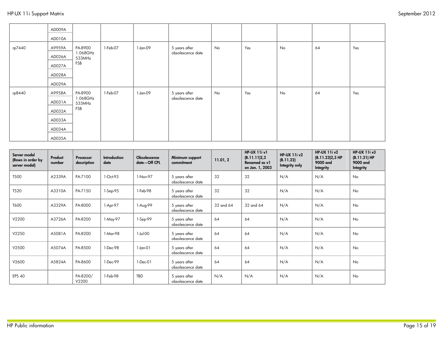|        | AD009A<br>AD010A                                         |                                      |          |          |                                    |    |     |    |    |     |
|--------|----------------------------------------------------------|--------------------------------------|----------|----------|------------------------------------|----|-----|----|----|-----|
| rp7440 | A9959A<br>AD026A<br>AD027A<br>AD028A<br>AD029A           | PA-8900<br>1.068GHz<br>533MHz<br>FSB | 1-Feb-07 | 1-Jan-09 | 5 years after<br>obsolescence date | No | Yes | No | 64 | Yes |
| rp8440 | A9958A<br>AD031A<br>AD032A<br>AD033A<br>AD034A<br>AD035A | PA-8900<br>1.068GHz<br>533MHz<br>FSB | 1-Feb-07 | 1-Jan-09 | 5 years after<br>obsolescence date | No | Yes | No | 64 | Yes |

| Server model<br>(Rows in order by<br>server model) | Product<br>number | Processor<br>description | <b>Introduction</b><br>date | Obsolescence<br>date-Off CPL | Minimum support<br>commitment      | 11.01, 2  | <b>HP-UX 11i v1</b><br>(B.11.11)2,3<br>Renamed as v1<br>on Jan. 1, 2003 | <b>HP-UX 11i v2</b><br>(B.11.22)<br>Integrity only | <b>HP-UX 11i v2</b><br>(B.11.23)2,3 HP<br>9000 and<br>Integrity | <b>HP-UX 11i v3</b><br>$(B.11.31) H$ P<br>9000 and<br>Integrity |
|----------------------------------------------------|-------------------|--------------------------|-----------------------------|------------------------------|------------------------------------|-----------|-------------------------------------------------------------------------|----------------------------------------------------|-----------------------------------------------------------------|-----------------------------------------------------------------|
| <b>T500</b>                                        | A2339A            | PA-7100                  | 1-Oct-93                    | 1-Nov-97                     | 5 years after<br>obsolescence date | 32        | 32                                                                      | N/A                                                | N/A                                                             | <b>No</b>                                                       |
| T520                                               | A3310A            | PA-7150                  | $1-Sep-95$                  | 1-Feb-98                     | 5 years after<br>obsolescence date | 32        | 32                                                                      | N/A                                                | N/A                                                             | No                                                              |
| T600                                               | A3329A            | PA-8000                  | 1-Apr-97                    | 1-Aug-99                     | 5 years after<br>obsolescence date | 32 and 64 | 32 and 64                                                               | N/A                                                | N/A                                                             | <b>No</b>                                                       |
| V2200                                              | A3726A            | PA-8200                  | 1-May-97                    | $1-Sep-99$                   | 5 years after<br>obsolescence date | 64        | 64                                                                      | N/A                                                | N/A                                                             | No                                                              |
| V2250                                              | A5081A            | PA-8200                  | 1-Mar-98                    | 1-Jul-00                     | 5 years after<br>obsolescence date | 64        | 64                                                                      | N/A                                                | N/A                                                             | <b>No</b>                                                       |
| V2500                                              | A5074A            | PA-8500                  | 1-Dec-98                    | 1-Jan-01                     | 5 years after<br>obsolescence date | 64        | 64                                                                      | N/A                                                | N/A                                                             | <b>No</b>                                                       |
| V2600                                              | A5824A            | PA-8600                  | 1-Dec-99                    | 1-Dec-01                     | 5 years after<br>obsolescence date | 64        | 64                                                                      | N/A                                                | N/A                                                             | <b>No</b>                                                       |
| <b>EPS 40</b>                                      |                   | PA-8200/<br>V2200        | 1-Feb-98                    | TBD                          | 5 years after<br>obsolescence date | N/A       | N/A                                                                     | N/A                                                | N/A                                                             | <b>No</b>                                                       |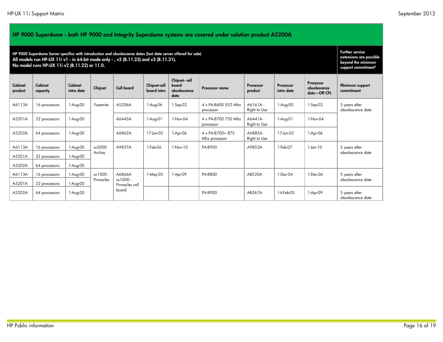| HP 9000 Superdome - both HP 9000 and Integrity Superdome systems are covered under solution product A5200A                                                                                                                                               |                     |                       |                       |                   |                             |                                               |                                               |                         |                         |                                                                                                            |                                    |                                    |          |                                   |                         |           |                   |                |               |
|----------------------------------------------------------------------------------------------------------------------------------------------------------------------------------------------------------------------------------------------------------|---------------------|-----------------------|-----------------------|-------------------|-----------------------------|-----------------------------------------------|-----------------------------------------------|-------------------------|-------------------------|------------------------------------------------------------------------------------------------------------|------------------------------------|------------------------------------|----------|-----------------------------------|-------------------------|-----------|-------------------|----------------|---------------|
| HP 9000 Superdome Server specifics with introduction and obsolescence dates (last date server offered for sale)<br>All models run HP-UX 11i v1 - in 64-bit mode only - , v2 (B.11.23) and v3 (B.11.31).<br>No model runs HP-UX 11i v2 (B.11.22) or 11.0. |                     |                       |                       |                   |                             |                                               |                                               |                         |                         | <b>Further service</b><br>extensions are possible<br>beyond the minimum<br>support commitment <sup>5</sup> |                                    |                                    |          |                                   |                         |           |                   |                |               |
| Cabinet<br>product                                                                                                                                                                                                                                       | Cabinet<br>capacity | Cabinet<br>intro date | Chipset               | <b>Cell board</b> | Chipset-cell<br>board intro | Chipset-cell<br>board<br>obsolescence<br>date | Processor name                                | Processor<br>product    | Processor<br>intro date | Processor<br>obsolescence<br>date-Off CPL                                                                  | Minimum support<br>commitment      |                                    |          |                                   |                         |           |                   |                |               |
| A6113A                                                                                                                                                                                                                                                   | 16 processors       | 1-Aug-00              | Yosemite              | A5206A            | 1-Aug-06                    | $1-Sep-02$                                    | 4 x PA-8600 552 Mhz<br>processor              | A6161A-<br>Right to Use | 1-Aug-00                | 1-Sep-02                                                                                                   | 5 years after<br>obsolescence date |                                    |          |                                   |                         |           |                   |                |               |
| A5201A                                                                                                                                                                                                                                                   | 32 processors       | 1-Aug-00              |                       | A6445A            | 1-Aug-01                    | 1-Nov-04                                      | 4 x PA-8700 750 Mhz<br>processor              | A6441A-<br>Right to Use | $1-Auq-01$              | 1-Nov-04                                                                                                   |                                    |                                    |          |                                   |                         |           |                   |                |               |
| A5202A                                                                                                                                                                                                                                                   | 64 processors       | $1-Auq-00$            |                       |                   |                             |                                               |                                               |                         |                         |                                                                                                            | A6862A                             | 17-Jun-02                          | 1-Apr-06 | 4 x PA-8700+ 875<br>Mhz processor | A6885A-<br>Right to Use | 17-Jun-02 | 1-Apr-06          |                |               |
| A6113A                                                                                                                                                                                                                                                   | 16 processors       | 1-Aug-00              | sx2000<br>Arches      |                   |                             |                                               |                                               |                         |                         |                                                                                                            |                                    | A9837A                             | 1-Feb-06 | $1-Nov-10$                        | PA-8900                 | A9853A    | 1-Feb-07          | $1$ -lan- $10$ | 5 years after |
| A5201A                                                                                                                                                                                                                                                   | 32 processors       | 1-Aug-00              |                       |                   |                             |                                               |                                               |                         |                         |                                                                                                            |                                    |                                    |          |                                   |                         |           |                   |                |               |
| A5202A                                                                                                                                                                                                                                                   | 64 processors       | 1-Aug-00              |                       |                   |                             |                                               |                                               |                         |                         |                                                                                                            |                                    |                                    |          |                                   |                         |           |                   |                |               |
| A6113A                                                                                                                                                                                                                                                   | 16 processors       | 1-Aug-00              | sx1000 -<br>Pinnacles |                   |                             |                                               | A6866A<br>$s \times 1000$ -<br>Pinnacles cell | 1-May-05                | 1-Apr-09                | PA-8800                                                                                                    | <b>AB520A</b>                      | $1-Dec-04$                         | 1-Dec-06 | 5 years after                     |                         |           |                   |                |               |
| A5201A                                                                                                                                                                                                                                                   | 32 processors       | $1-Auq-00$            |                       |                   |                             |                                               |                                               |                         |                         |                                                                                                            |                                    |                                    |          |                                   |                         |           | obsolescence date |                |               |
| A5202A                                                                                                                                                                                                                                                   | 64 processors       | 1-Aug-00              |                       |                   | board                       |                                               |                                               | PA-8900                 | AB367A                  | 14-Feb-05                                                                                                  | 1-Apr-09                           | 5 years after<br>obsolescence date |          |                                   |                         |           |                   |                |               |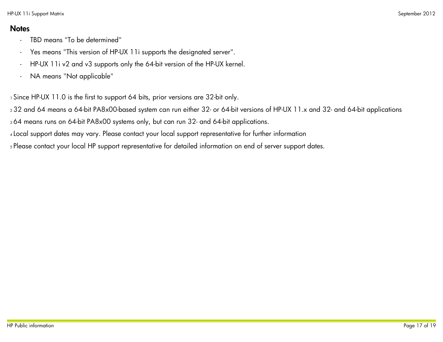### **Notes**

- TBD means "To be determined"
- Yes means "This version of HP-UX 11i supports the designated server".
- HP-UX 11i v2 and v3 supports only the 64-bit version of the HP-UX kernel.
- NA means "Not applicable"

1 Since HP-UX 11.0 is the first to support 64 bits, prior versions are 32-bit only.

<sup>2</sup>32 and 64 means a 64-bit PA8x00-based system can run either 32- or 64-bit versions of HP-UX 11.x and 32- and 64-bit applications

<sup>3</sup>64 means runs on 64-bit PA8x00 systems only, but can run 32- and 64-bit applications.

<sup>4</sup>Local support dates may vary. Please contact your local support representative for further information

<sup>5</sup> Please contact your local HP support representative for detailed information on end of server support dates.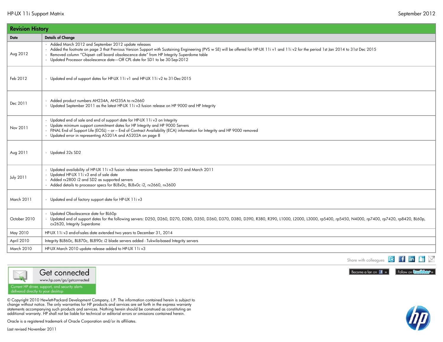|                  | <b>Revision History</b>                                                                                                                                                                                                                                                                                                                                                                                                         |  |  |  |  |  |  |  |
|------------------|---------------------------------------------------------------------------------------------------------------------------------------------------------------------------------------------------------------------------------------------------------------------------------------------------------------------------------------------------------------------------------------------------------------------------------|--|--|--|--|--|--|--|
| Date             | <b>Details of Change</b>                                                                                                                                                                                                                                                                                                                                                                                                        |  |  |  |  |  |  |  |
| Aug 2012         | Added March 2012 and September 2012 update releases<br>- Added the footnote on page 3 that Previous Version Support with Sustaining Engineering (PVS w SE) will be offered for HP-UX 11i v1 and 11i v2 for the period 1st Jan 2014 to 31st Dec 2015<br>Removed column "Chipset- cell board obsolescence date" from HP Integrity Superdome table<br>- Updated Processor obsolescence date-Off CPL date for SD1 to be 30-Sep-2012 |  |  |  |  |  |  |  |
| Feb 2012         | - Updated end of support dates for HP-UX 11i v1 and HP-UX 11i v2 to 31-Dec-2015                                                                                                                                                                                                                                                                                                                                                 |  |  |  |  |  |  |  |
| Dec 2011         | Added product numbers AH234A, AH235A to rx2660<br>- Updated September 2011 as the latest HP-UX 11i v3 fusion release on HP 9000 and HP Integrity                                                                                                                                                                                                                                                                                |  |  |  |  |  |  |  |
| Nov 2011         | Updated end of sale and end of support date for HP-UX 11i v3 on Integrity<br>Update minimum support commitment dates for HP Integrity and HP 9000 Servers<br>- FINAL End of Support Life (EOSL) - or - End of Contract Availability (ECA) information for Integrity and HP 9000 removed<br>- Updated error in representing A5201A and A5202A on page 8                                                                          |  |  |  |  |  |  |  |
| Aug 2011         | - Updated 32s SD2                                                                                                                                                                                                                                                                                                                                                                                                               |  |  |  |  |  |  |  |
| <b>July 2011</b> | Updated availability of HP-UX 11i v3 fusion release versions September 2010 and March 2011<br>- Updated HP-UX 11i v3 end of sale date<br>- Added rx2800 i2 and SD2 as supported servers<br>- Added details to processor specs for BL8x0c, BL8x0c i2, rx2660, rx3600                                                                                                                                                             |  |  |  |  |  |  |  |
| March 2011       | - Updated end of factory support date for HP-UX 11iv3                                                                                                                                                                                                                                                                                                                                                                           |  |  |  |  |  |  |  |
| October 2010     | - Updated Obsolescence date for BL60p<br>- Updated end of support dates for the following servers: D250, D260, D270, D280, D350, D360, D370, D380, D390, R380, R390, L1000, L2000, L3000, rp5400, rp5450, N4000, rp7400, rp7420, rp8420, BL60p,<br>cx2620, Integrity Superdome                                                                                                                                                  |  |  |  |  |  |  |  |
| May 2010         | HP-UX 11i v3 end-of-sales date extended two years to December 31, 2014                                                                                                                                                                                                                                                                                                                                                          |  |  |  |  |  |  |  |
| April 2010       | Integrity BL860c, BL870c, BL890c i2 blade servers added - Tukwila-based Integrity servers                                                                                                                                                                                                                                                                                                                                       |  |  |  |  |  |  |  |
| March 2010       | HP-UX March 2010 update release added to HP-UX 11iv3                                                                                                                                                                                                                                                                                                                                                                            |  |  |  |  |  |  |  |





www.hp.com/go/getconnected

Current HP driver, support, and security alerts<br>delivered directly to your desktop

© Copyright 2010 Hewlett-Packard Development Company, L.P. The information contained herein is subject to change without notice. The only warranties for HP products and services are set forth in the express warranty statements accompanying such products and services. Nothing herein should be construed as constituting an additional warranty. HP shall not be liable for technical or editorial errors or omissions contained herein.

Oracle is a registered trademark of Oracle Corporation and/or its affiliates.

Last revised November 2011



Follow on **Conflicer**»

LEX

**I** f in

Share with colleagues